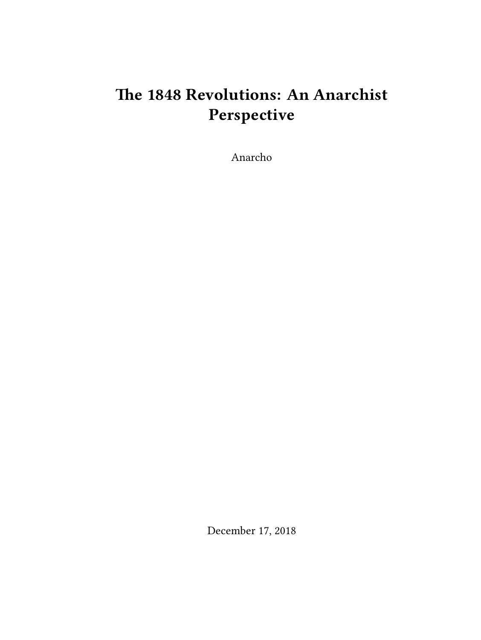# **The 1848 Revolutions: An Anarchist Perspective**

Anarcho

December 17, 2018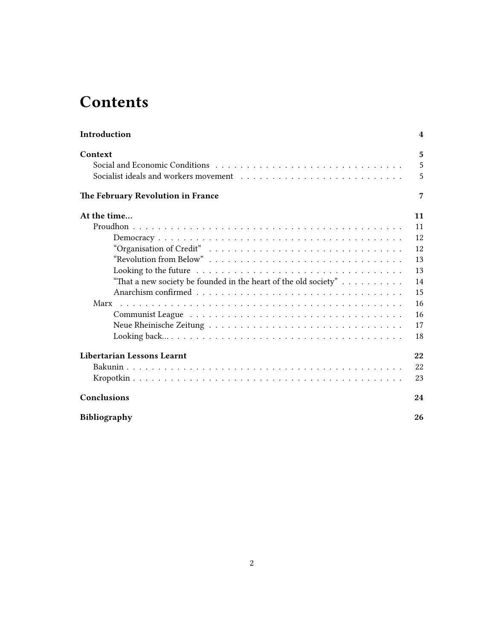# **Contents**

| Introduction                                                                                                | 4  |
|-------------------------------------------------------------------------------------------------------------|----|
| Context                                                                                                     | 5  |
|                                                                                                             | 5  |
|                                                                                                             | 5  |
| The February Revolution in France                                                                           | 7  |
| At the time                                                                                                 | 11 |
|                                                                                                             | 11 |
|                                                                                                             | 12 |
|                                                                                                             | 12 |
| "Revolution from Below"                                                                                     | 13 |
| Looking to the future $\ldots \ldots \ldots \ldots \ldots \ldots \ldots \ldots \ldots \ldots \ldots \ldots$ | 13 |
| "That a new society be founded in the heart of the old society" $\dots \dots \dots$                         | 14 |
|                                                                                                             | 15 |
|                                                                                                             | 16 |
|                                                                                                             | 16 |
|                                                                                                             | 17 |
|                                                                                                             | 18 |
| <b>Libertarian Lessons Learnt</b>                                                                           | 22 |
|                                                                                                             | 22 |
|                                                                                                             | 23 |
| Conclusions                                                                                                 | 24 |
| <b>Bibliography</b>                                                                                         | 26 |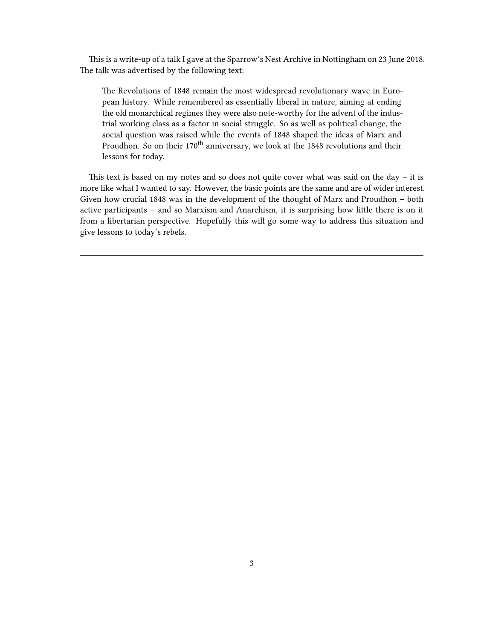This is a write-up of a talk I gave at the Sparrow's Nest Archive in Nottingham on 23 June 2018. The talk was advertised by the following text:

The Revolutions of 1848 remain the most widespread revolutionary wave in European history. While remembered as essentially liberal in nature, aiming at ending the old monarchical regimes they were also note-worthy for the advent of the industrial working class as a factor in social struggle. So as well as political change, the social question was raised while the events of 1848 shaped the ideas of Marx and Proudhon. So on their 170<sup>th</sup> anniversary, we look at the 1848 revolutions and their lessons for today.

This text is based on my notes and so does not quite cover what was said on the day – it is more like what I wanted to say. However, the basic points are the same and are of wider interest. Given how crucial 1848 was in the development of the thought of Marx and Proudhon – both active participants – and so Marxism and Anarchism, it is surprising how little there is on it from a libertarian perspective. Hopefully this will go some way to address this situation and give lessons to today's rebels.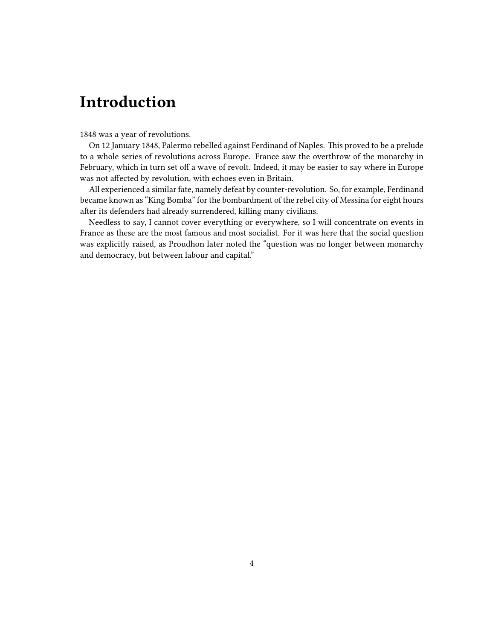# <span id="page-3-0"></span>**Introduction**

1848 was a year of revolutions.

On 12 January 1848, Palermo rebelled against Ferdinand of Naples. This proved to be a prelude to a whole series of revolutions across Europe. France saw the overthrow of the monarchy in February, which in turn set off a wave of revolt. Indeed, it may be easier to say where in Europe was not affected by revolution, with echoes even in Britain.

All experienced a similar fate, namely defeat by counter-revolution. So, for example, Ferdinand became known as "King Bomba" for the bombardment of the rebel city of Messina for eight hours after its defenders had already surrendered, killing many civilians.

Needless to say, I cannot cover everything or everywhere, so I will concentrate on events in France as these are the most famous and most socialist. For it was here that the social question was explicitly raised, as Proudhon later noted the "question was no longer between monarchy and democracy, but between labour and capital."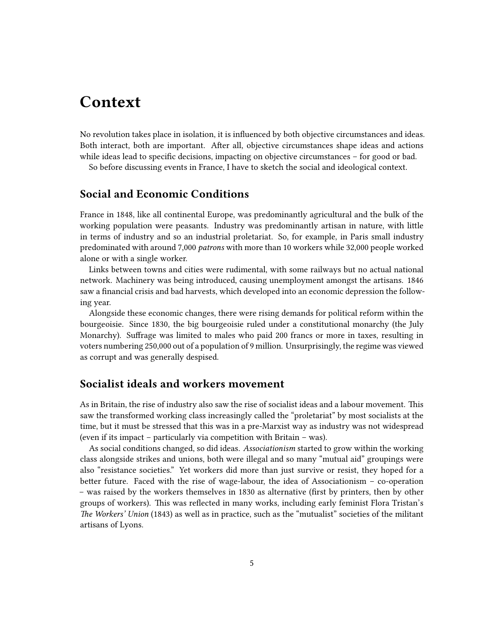# <span id="page-4-0"></span>**Context**

No revolution takes place in isolation, it is influenced by both objective circumstances and ideas. Both interact, both are important. After all, objective circumstances shape ideas and actions while ideas lead to specific decisions, impacting on objective circumstances – for good or bad. So before discussing events in France, I have to sketch the social and ideological context.

### <span id="page-4-1"></span>**Social and Economic Conditions**

France in 1848, like all continental Europe, was predominantly agricultural and the bulk of the working population were peasants. Industry was predominantly artisan in nature, with little in terms of industry and so an industrial proletariat. So, for example, in Paris small industry predominated with around 7,000 *patrons* with more than 10 workers while 32,000 people worked alone or with a single worker.

Links between towns and cities were rudimental, with some railways but no actual national network. Machinery was being introduced, causing unemployment amongst the artisans. 1846 saw a financial crisis and bad harvests, which developed into an economic depression the following year.

Alongside these economic changes, there were rising demands for political reform within the bourgeoisie. Since 1830, the big bourgeoisie ruled under a constitutional monarchy (the July Monarchy). Suffrage was limited to males who paid 200 francs or more in taxes, resulting in voters numbering 250,000 out of a population of 9 million. Unsurprisingly, the regime was viewed as corrupt and was generally despised.

## <span id="page-4-2"></span>**Socialist ideals and workers movement**

As in Britain, the rise of industry also saw the rise of socialist ideas and a labour movement. This saw the transformed working class increasingly called the "proletariat" by most socialists at the time, but it must be stressed that this was in a pre-Marxist way as industry was not widespread (even if its impact – particularly via competition with Britain – was).

As social conditions changed, so did ideas. *Associationism* started to grow within the working class alongside strikes and unions, both were illegal and so many "mutual aid" groupings were also "resistance societies." Yet workers did more than just survive or resist, they hoped for a better future. Faced with the rise of wage-labour, the idea of Associationism – co-operation – was raised by the workers themselves in 1830 as alternative (first by printers, then by other groups of workers). This was reflected in many works, including early feminist Flora Tristan's *The Workers' Union* (1843) as well as in practice, such as the "mutualist" societies of the militant artisans of Lyons.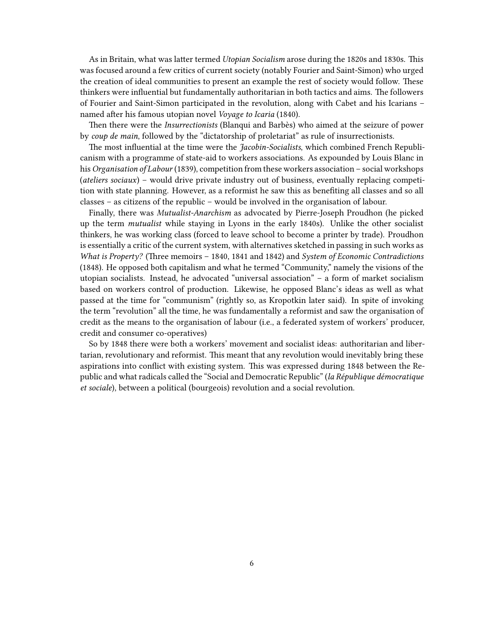As in Britain, what was latter termed *Utopian Socialism* arose during the 1820s and 1830s. This was focused around a few critics of current society (notably Fourier and Saint-Simon) who urged the creation of ideal communities to present an example the rest of society would follow. These thinkers were influential but fundamentally authoritarian in both tactics and aims. The followers of Fourier and Saint-Simon participated in the revolution, along with Cabet and his Icarians – named after his famous utopian novel *Voyage to Icaria* (1840).

Then there were the *Insurrectionists* (Blanqui and Barbès) who aimed at the seizure of power by *coup de main*, followed by the "dictatorship of proletariat" as rule of insurrectionists.

The most influential at the time were the *Jacobin-Socialists*, which combined French Republicanism with a programme of state-aid to workers associations. As expounded by Louis Blanc in his *Organisation of Labour* (1839), competition from these workers association – social workshops (*ateliers sociaux*) – would drive private industry out of business, eventually replacing competition with state planning. However, as a reformist he saw this as benefiting all classes and so all classes – as citizens of the republic – would be involved in the organisation of labour.

Finally, there was *Mutualist-Anarchism* as advocated by Pierre-Joseph Proudhon (he picked up the term *mutualist* while staying in Lyons in the early 1840s). Unlike the other socialist thinkers, he was working class (forced to leave school to become a printer by trade). Proudhon is essentially a critic of the current system, with alternatives sketched in passing in such works as *What is Property?* (Three memoirs – 1840, 1841 and 1842) and *System of Economic Contradictions* (1848). He opposed both capitalism and what he termed "Community," namely the visions of the utopian socialists. Instead, he advocated "universal association" – a form of market socialism based on workers control of production. Likewise, he opposed Blanc's ideas as well as what passed at the time for "communism" (rightly so, as Kropotkin later said). In spite of invoking the term "revolution" all the time, he was fundamentally a reformist and saw the organisation of credit as the means to the organisation of labour (i.e., a federated system of workers' producer, credit and consumer co-operatives)

So by 1848 there were both a workers' movement and socialist ideas: authoritarian and libertarian, revolutionary and reformist. This meant that any revolution would inevitably bring these aspirations into conflict with existing system. This was expressed during 1848 between the Republic and what radicals called the "Social and Democratic Republic" (*la République démocratique et sociale*), between a political (bourgeois) revolution and a social revolution.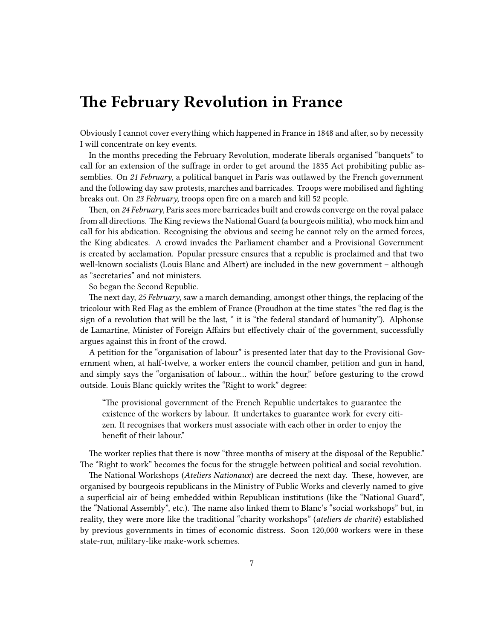## <span id="page-6-0"></span>**The February Revolution in France**

Obviously I cannot cover everything which happened in France in 1848 and after, so by necessity I will concentrate on key events.

In the months preceding the February Revolution, moderate liberals organised "banquets" to call for an extension of the suffrage in order to get around the 1835 Act prohibiting public assemblies. On *21 February*, a political banquet in Paris was outlawed by the French government and the following day saw protests, marches and barricades. Troops were mobilised and fighting breaks out. On *23 February*, troops open fire on a march and kill 52 people.

Then, on *24 February*, Paris sees more barricades built and crowds converge on the royal palace from all directions. The King reviews the National Guard (a bourgeois militia), who mock him and call for his abdication. Recognising the obvious and seeing he cannot rely on the armed forces, the King abdicates. A crowd invades the Parliament chamber and a Provisional Government is created by acclamation. Popular pressure ensures that a republic is proclaimed and that two well-known socialists (Louis Blanc and Albert) are included in the new government – although as "secretaries" and not ministers.

So began the Second Republic.

The next day, *25 February*, saw a march demanding, amongst other things, the replacing of the tricolour with Red Flag as the emblem of France (Proudhon at the time states "the red flag is the sign of a revolution that will be the last, " it is "the federal standard of humanity"). Alphonse de Lamartine, Minister of Foreign Affairs but effectively chair of the government, successfully argues against this in front of the crowd.

A petition for the "organisation of labour" is presented later that day to the Provisional Government when, at half-twelve, a worker enters the council chamber, petition and gun in hand, and simply says the "organisation of labour… within the hour," before gesturing to the crowd outside. Louis Blanc quickly writes the "Right to work" degree:

"The provisional government of the French Republic undertakes to guarantee the existence of the workers by labour. It undertakes to guarantee work for every citizen. It recognises that workers must associate with each other in order to enjoy the benefit of their labour."

The worker replies that there is now "three months of misery at the disposal of the Republic." The "Right to work" becomes the focus for the struggle between political and social revolution.

The National Workshops (*Ateliers Nationaux*) are decreed the next day. These, however, are organised by bourgeois republicans in the Ministry of Public Works and cleverly named to give a superficial air of being embedded within Republican institutions (like the "National Guard", the "National Assembly", etc.). The name also linked them to Blanc's "social workshops" but, in reality, they were more like the traditional "charity workshops" (*ateliers de charité*) established by previous governments in times of economic distress. Soon 120,000 workers were in these state-run, military-like make-work schemes.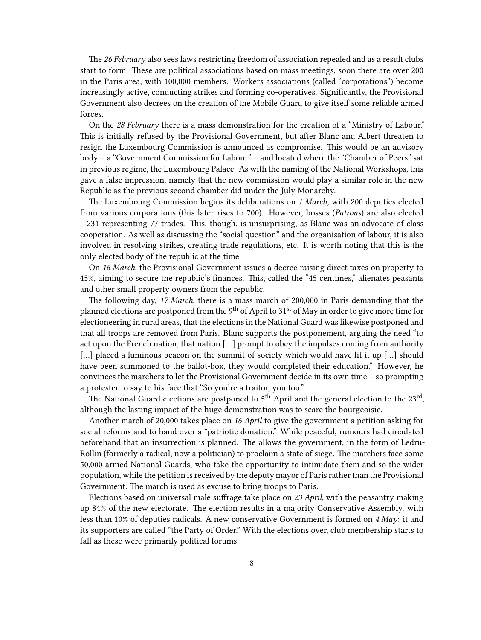The *26 February* also sees laws restricting freedom of association repealed and as a result clubs start to form. These are political associations based on mass meetings, soon there are over 200 in the Paris area, with 100,000 members. Workers associations (called "corporations") become increasingly active, conducting strikes and forming co-operatives. Significantly, the Provisional Government also decrees on the creation of the Mobile Guard to give itself some reliable armed forces.

On the *28 February* there is a mass demonstration for the creation of a "Ministry of Labour." This is initially refused by the Provisional Government, but after Blanc and Albert threaten to resign the Luxembourg Commission is announced as compromise. This would be an advisory body – a "Government Commission for Labour" – and located where the "Chamber of Peers" sat in previous regime, the Luxembourg Palace. As with the naming of the National Workshops, this gave a false impression, namely that the new commission would play a similar role in the new Republic as the previous second chamber did under the July Monarchy.

The Luxembourg Commission begins its deliberations on *1 March*, with 200 deputies elected from various corporations (this later rises to 700). However, bosses (*Patrons*) are also elected – 231 representing 77 trades. This, though, is unsurprising, as Blanc was an advocate of class cooperation. As well as discussing the "social question" and the organisation of labour, it is also involved in resolving strikes, creating trade regulations, etc. It is worth noting that this is the only elected body of the republic at the time.

On *16 March*, the Provisional Government issues a decree raising direct taxes on property to 45%, aiming to secure the republic's finances. This, called the "45 centimes," alienates peasants and other small property owners from the republic.

The following day, *17 March*, there is a mass march of 200,000 in Paris demanding that the planned elections are postponed from the 9<sup>th</sup> of April to 31<sup>st</sup> of May in order to give more time for electioneering in rural areas, that the elections in the National Guard was likewise postponed and that all troops are removed from Paris. Blanc supports the postponement, arguing the need "to act upon the French nation, that nation […] prompt to obey the impulses coming from authority [...] placed a luminous beacon on the summit of society which would have lit it up [...] should have been summoned to the ballot-box, they would completed their education." However, he convinces the marchers to let the Provisional Government decide in its own time – so prompting a protester to say to his face that "So you're a traitor, you too."

The National Guard elections are postponed to 5<sup>th</sup> April and the general election to the 23<sup>rd</sup>, although the lasting impact of the huge demonstration was to scare the bourgeoisie.

Another march of 20,000 takes place on *16 April* to give the government a petition asking for social reforms and to hand over a "patriotic donation." While peaceful, rumours had circulated beforehand that an insurrection is planned. The allows the government, in the form of Ledru-Rollin (formerly a radical, now a politician) to proclaim a state of siege. The marchers face some 50,000 armed National Guards, who take the opportunity to intimidate them and so the wider population, while the petition is received by the deputy mayor of Paris rather than the Provisional Government. The march is used as excuse to bring troops to Paris.

Elections based on universal male suffrage take place on *23 April*, with the peasantry making up 84% of the new electorate. The election results in a majority Conservative Assembly, with less than 10% of deputies radicals. A new conservative Government is formed on *4 May*: it and its supporters are called "the Party of Order." With the elections over, club membership starts to fall as these were primarily political forums.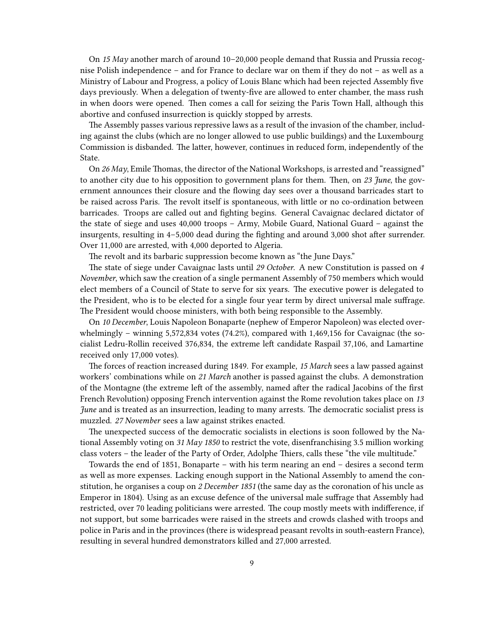On *15 May* another march of around 10–20,000 people demand that Russia and Prussia recognise Polish independence – and for France to declare war on them if they do not – as well as a Ministry of Labour and Progress, a policy of Louis Blanc which had been rejected Assembly five days previously. When a delegation of twenty-five are allowed to enter chamber, the mass rush in when doors were opened. Then comes a call for seizing the Paris Town Hall, although this abortive and confused insurrection is quickly stopped by arrests.

The Assembly passes various repressive laws as a result of the invasion of the chamber, including against the clubs (which are no longer allowed to use public buildings) and the Luxembourg Commission is disbanded. The latter, however, continues in reduced form, independently of the State.

On *26 May*, Emile Thomas, the director of the National Workshops, is arrested and "reassigned" to another city due to his opposition to government plans for them. Then, on *23 June*, the government announces their closure and the flowing day sees over a thousand barricades start to be raised across Paris. The revolt itself is spontaneous, with little or no co-ordination between barricades. Troops are called out and fighting begins. General Cavaignac declared dictator of the state of siege and uses 40,000 troops – Army, Mobile Guard, National Guard – against the insurgents, resulting in 4–5,000 dead during the fighting and around 3,000 shot after surrender. Over 11,000 are arrested, with 4,000 deported to Algeria.

The revolt and its barbaric suppression become known as "the June Days."

The state of siege under Cavaignac lasts until *29 October*. A new Constitution is passed on *4 November*, which saw the creation of a single permanent Assembly of 750 members which would elect members of a Council of State to serve for six years. The executive power is delegated to the President, who is to be elected for a single four year term by direct universal male suffrage. The President would choose ministers, with both being responsible to the Assembly.

On *10 December*, Louis Napoleon Bonaparte (nephew of Emperor Napoleon) was elected overwhelmingly – winning  $5,572,834$  votes  $(74.2\%)$ , compared with  $1,469,156$  for Cavaignac (the socialist Ledru-Rollin received 376,834, the extreme left candidate Raspail 37,106, and Lamartine received only 17,000 votes).

The forces of reaction increased during 1849. For example, *15 March* sees a law passed against workers' combinations while on *21 March* another is passed against the clubs. A demonstration of the Montagne (the extreme left of the assembly, named after the radical Jacobins of the first French Revolution) opposing French intervention against the Rome revolution takes place on *13 June* and is treated as an insurrection, leading to many arrests. The democratic socialist press is muzzled. *27 November* sees a law against strikes enacted.

The unexpected success of the democratic socialists in elections is soon followed by the National Assembly voting on *31 May 1850* to restrict the vote, disenfranchising 3.5 million working class voters – the leader of the Party of Order, Adolphe Thiers, calls these "the vile multitude."

Towards the end of 1851, Bonaparte – with his term nearing an end – desires a second term as well as more expenses. Lacking enough support in the National Assembly to amend the constitution, he organises a coup on *2 December 1851* (the same day as the coronation of his uncle as Emperor in 1804). Using as an excuse defence of the universal male suffrage that Assembly had restricted, over 70 leading politicians were arrested. The coup mostly meets with indifference, if not support, but some barricades were raised in the streets and crowds clashed with troops and police in Paris and in the provinces (there is widespread peasant revolts in south-eastern France), resulting in several hundred demonstrators killed and 27,000 arrested.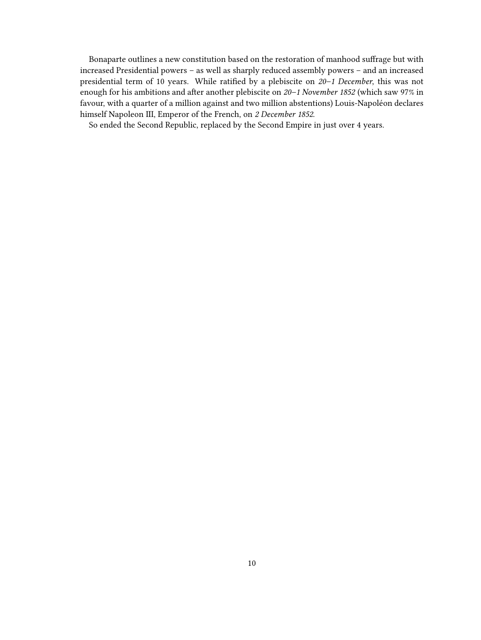Bonaparte outlines a new constitution based on the restoration of manhood suffrage but with increased Presidential powers – as well as sharply reduced assembly powers – and an increased presidential term of 10 years. While ratified by a plebiscite on *20–1 December*, this was not enough for his ambitions and after another plebiscite on *20–1 November 1852* (which saw 97% in favour, with a quarter of a million against and two million abstentions) Louis-Napoléon declares himself Napoleon III, Emperor of the French, on *2 December 1852*.

So ended the Second Republic, replaced by the Second Empire in just over 4 years.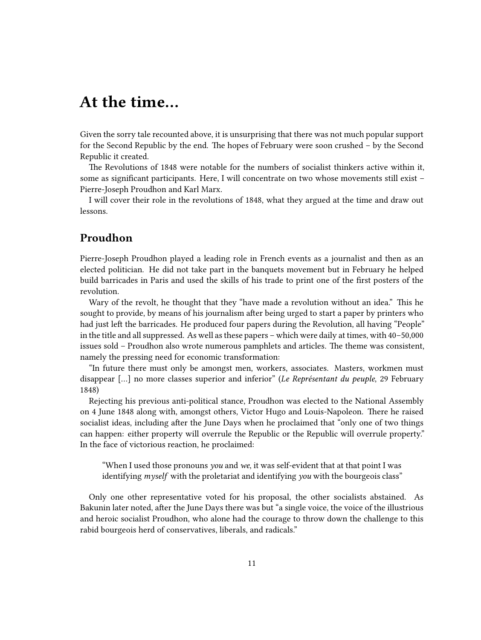# <span id="page-10-0"></span>**At the time…**

Given the sorry tale recounted above, it is unsurprising that there was not much popular support for the Second Republic by the end. The hopes of February were soon crushed – by the Second Republic it created.

The Revolutions of 1848 were notable for the numbers of socialist thinkers active within it, some as significant participants. Here, I will concentrate on two whose movements still exist – Pierre-Joseph Proudhon and Karl Marx.

I will cover their role in the revolutions of 1848, what they argued at the time and draw out lessons.

## <span id="page-10-1"></span>**Proudhon**

Pierre-Joseph Proudhon played a leading role in French events as a journalist and then as an elected politician. He did not take part in the banquets movement but in February he helped build barricades in Paris and used the skills of his trade to print one of the first posters of the revolution.

Wary of the revolt, he thought that they "have made a revolution without an idea." This he sought to provide, by means of his journalism after being urged to start a paper by printers who had just left the barricades. He produced four papers during the Revolution, all having "People" in the title and all suppressed. As well as these papers – which were daily at times, with 40–50,000 issues sold – Proudhon also wrote numerous pamphlets and articles. The theme was consistent, namely the pressing need for economic transformation:

"In future there must only be amongst men, workers, associates. Masters, workmen must disappear […] no more classes superior and inferior" (*Le Représentant du peuple*, 29 February 1848)

Rejecting his previous anti-political stance, Proudhon was elected to the National Assembly on 4 June 1848 along with, amongst others, Victor Hugo and Louis-Napoleon. There he raised socialist ideas, including after the June Days when he proclaimed that "only one of two things can happen: either property will overrule the Republic or the Republic will overrule property." In the face of victorious reaction, he proclaimed:

"When I used those pronouns *you* and *we*, it was self-evident that at that point I was identifying *myself* with the proletariat and identifying *you* with the bourgeois class"

Only one other representative voted for his proposal, the other socialists abstained. As Bakunin later noted, after the June Days there was but "a single voice, the voice of the illustrious and heroic socialist Proudhon, who alone had the courage to throw down the challenge to this rabid bourgeois herd of conservatives, liberals, and radicals."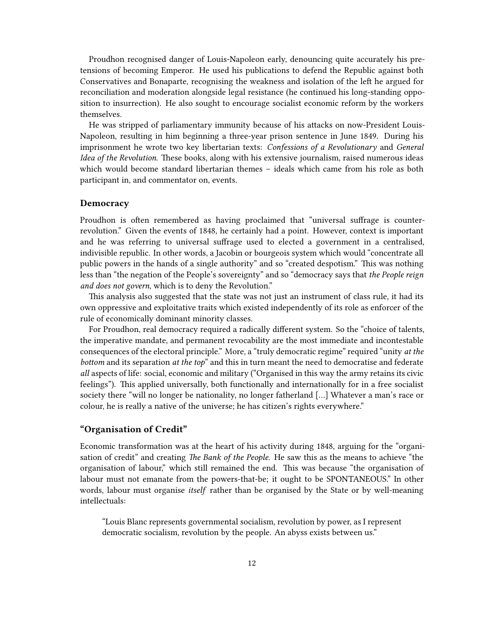Proudhon recognised danger of Louis-Napoleon early, denouncing quite accurately his pretensions of becoming Emperor. He used his publications to defend the Republic against both Conservatives and Bonaparte, recognising the weakness and isolation of the left he argued for reconciliation and moderation alongside legal resistance (he continued his long-standing opposition to insurrection). He also sought to encourage socialist economic reform by the workers themselves.

He was stripped of parliamentary immunity because of his attacks on now-President Louis-Napoleon, resulting in him beginning a three-year prison sentence in June 1849. During his imprisonment he wrote two key libertarian texts: *Confessions of a Revolutionary* and *General Idea of the Revolution*. These books, along with his extensive journalism, raised numerous ideas which would become standard libertarian themes – ideals which came from his role as both participant in, and commentator on, events.

#### <span id="page-11-0"></span>**Democracy**

Proudhon is often remembered as having proclaimed that "universal suffrage is counterrevolution." Given the events of 1848, he certainly had a point. However, context is important and he was referring to universal suffrage used to elected a government in a centralised, indivisible republic. In other words, a Jacobin or bourgeois system which would "concentrate all public powers in the hands of a single authority" and so "created despotism." This was nothing less than "the negation of the People's sovereignty" and so "democracy says that *the People reign and does not govern*, which is to deny the Revolution."

This analysis also suggested that the state was not just an instrument of class rule, it had its own oppressive and exploitative traits which existed independently of its role as enforcer of the rule of economically dominant minority classes.

For Proudhon, real democracy required a radically different system. So the "choice of talents, the imperative mandate, and permanent revocability are the most immediate and incontestable consequences of the electoral principle." More, a "truly democratic regime" required "unity *at the bottom* and its separation *at the top*" and this in turn meant the need to democratise and federate *all* aspects of life: social, economic and military ("Organised in this way the army retains its civic feelings"). This applied universally, both functionally and internationally for in a free socialist society there "will no longer be nationality, no longer fatherland […] Whatever a man's race or colour, he is really a native of the universe; he has citizen's rights everywhere."

#### <span id="page-11-1"></span>**"Organisation of Credit"**

Economic transformation was at the heart of his activity during 1848, arguing for the "organisation of credit" and creating *The Bank of the People*. He saw this as the means to achieve "the organisation of labour," which still remained the end. This was because "the organisation of labour must not emanate from the powers-that-be; it ought to be SPONTANEOUS." In other words, labour must organise *itself* rather than be organised by the State or by well-meaning intellectuals:

"Louis Blanc represents governmental socialism, revolution by power, as I represent democratic socialism, revolution by the people. An abyss exists between us."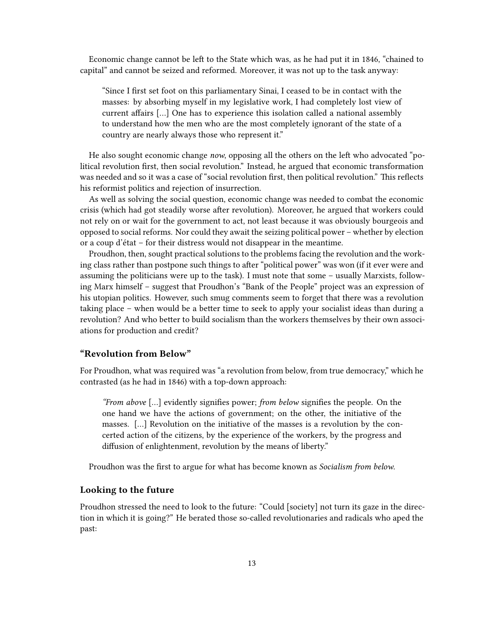Economic change cannot be left to the State which was, as he had put it in 1846, "chained to capital" and cannot be seized and reformed. Moreover, it was not up to the task anyway:

"Since I first set foot on this parliamentary Sinai, I ceased to be in contact with the masses: by absorbing myself in my legislative work, I had completely lost view of current affairs […] One has to experience this isolation called a national assembly to understand how the men who are the most completely ignorant of the state of a country are nearly always those who represent it."

He also sought economic change *now*, opposing all the others on the left who advocated "political revolution first, then social revolution." Instead, he argued that economic transformation was needed and so it was a case of "social revolution first, then political revolution." This reflects his reformist politics and rejection of insurrection.

As well as solving the social question, economic change was needed to combat the economic crisis (which had got steadily worse after revolution). Moreover, he argued that workers could not rely on or wait for the government to act, not least because it was obviously bourgeois and opposed to social reforms. Nor could they await the seizing political power – whether by election or a coup d'état – for their distress would not disappear in the meantime.

Proudhon, then, sought practical solutions to the problems facing the revolution and the working class rather than postpone such things to after "political power" was won (if it ever were and assuming the politicians were up to the task). I must note that some – usually Marxists, following Marx himself – suggest that Proudhon's "Bank of the People" project was an expression of his utopian politics. However, such smug comments seem to forget that there was a revolution taking place – when would be a better time to seek to apply your socialist ideas than during a revolution? And who better to build socialism than the workers themselves by their own associations for production and credit?

#### <span id="page-12-0"></span>**"Revolution from Below"**

For Proudhon, what was required was "a revolution from below, from true democracy," which he contrasted (as he had in 1846) with a top-down approach:

*"From above* […] evidently signifies power; *from below* signifies the people. On the one hand we have the actions of government; on the other, the initiative of the masses. […] Revolution on the initiative of the masses is a revolution by the concerted action of the citizens, by the experience of the workers, by the progress and diffusion of enlightenment, revolution by the means of liberty."

Proudhon was the first to argue for what has become known as *Socialism from below*.

#### <span id="page-12-1"></span>**Looking to the future**

Proudhon stressed the need to look to the future: "Could [society] not turn its gaze in the direction in which it is going?" He berated those so-called revolutionaries and radicals who aped the past: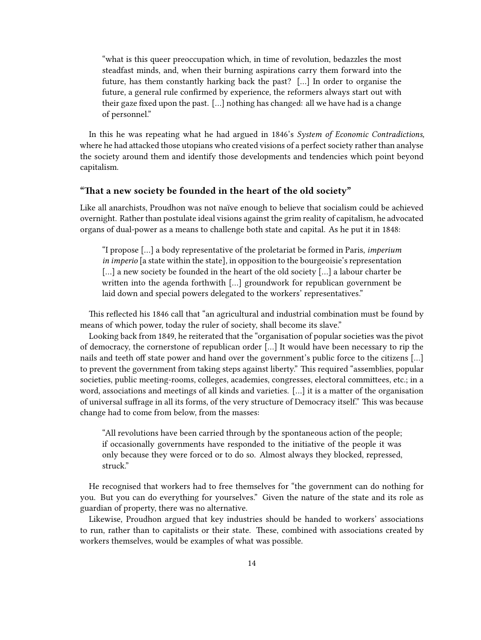"what is this queer preoccupation which, in time of revolution, bedazzles the most steadfast minds, and, when their burning aspirations carry them forward into the future, has them constantly harking back the past? […] In order to organise the future, a general rule confirmed by experience, the reformers always start out with their gaze fixed upon the past. […] nothing has changed: all we have had is a change of personnel."

In this he was repeating what he had argued in 1846's *System of Economic Contradictions,* where he had attacked those utopians who created visions of a perfect society rather than analyse the society around them and identify those developments and tendencies which point beyond capitalism.

#### <span id="page-13-0"></span>**"That a new society be founded in the heart of the old society"**

Like all anarchists, Proudhon was not naïve enough to believe that socialism could be achieved overnight. Rather than postulate ideal visions against the grim reality of capitalism, he advocated organs of dual-power as a means to challenge both state and capital. As he put it in 1848:

"I propose […] a body representative of the proletariat be formed in Paris, *imperium in imperio* [a state within the state]*,* in opposition to the bourgeoisie's representation [...] a new society be founded in the heart of the old society [...] a labour charter be written into the agenda forthwith […] groundwork for republican government be laid down and special powers delegated to the workers' representatives."

This reflected his 1846 call that "an agricultural and industrial combination must be found by means of which power, today the ruler of society, shall become its slave."

Looking back from 1849, he reiterated that the "organisation of popular societies was the pivot of democracy, the cornerstone of republican order […] It would have been necessary to rip the nails and teeth off state power and hand over the government's public force to the citizens […] to prevent the government from taking steps against liberty." This required "assemblies, popular societies, public meeting-rooms, colleges, academies, congresses, electoral committees, etc.; in a word, associations and meetings of all kinds and varieties. […] it is a matter of the organisation of universal suffrage in all its forms, of the very structure of Democracy itself." This was because change had to come from below, from the masses:

"All revolutions have been carried through by the spontaneous action of the people; if occasionally governments have responded to the initiative of the people it was only because they were forced or to do so. Almost always they blocked, repressed, struck."

He recognised that workers had to free themselves for "the government can do nothing for you. But you can do everything for yourselves." Given the nature of the state and its role as guardian of property, there was no alternative.

Likewise, Proudhon argued that key industries should be handed to workers' associations to run, rather than to capitalists or their state. These, combined with associations created by workers themselves, would be examples of what was possible.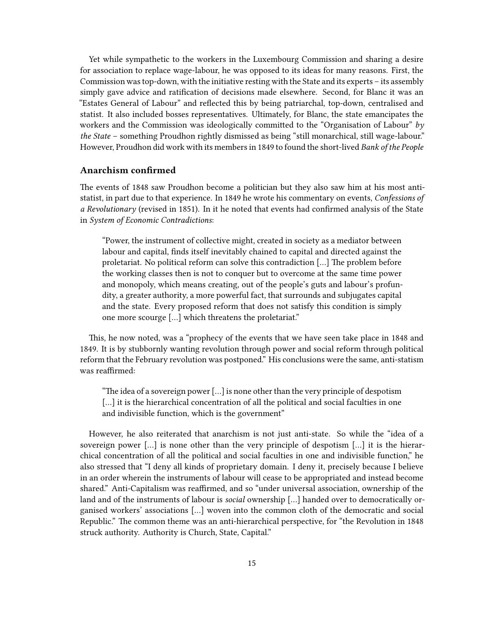Yet while sympathetic to the workers in the Luxembourg Commission and sharing a desire for association to replace wage-labour, he was opposed to its ideas for many reasons. First, the Commission was top-down, with the initiative resting with the State and its experts – its assembly simply gave advice and ratification of decisions made elsewhere. Second, for Blanc it was an "Estates General of Labour" and reflected this by being patriarchal, top-down, centralised and statist. It also included bosses representatives. Ultimately, for Blanc, the state emancipates the workers and the Commission was ideologically committed to the "Organisation of Labour" *by the State* – something Proudhon rightly dismissed as being "still monarchical, still wage-labour." However, Proudhon did work with its members in 1849 to found the short-lived *Bank of the People*

#### <span id="page-14-0"></span>**Anarchism confirmed**

The events of 1848 saw Proudhon become a politician but they also saw him at his most antistatist, in part due to that experience. In 1849 he wrote his commentary on events, *Confessions of a Revolutionary* (revised in 1851). In it he noted that events had confirmed analysis of the State in *System of Economic Contradictions*:

"Power, the instrument of collective might, created in society as a mediator between labour and capital, finds itself inevitably chained to capital and directed against the proletariat. No political reform can solve this contradiction […] The problem before the working classes then is not to conquer but to overcome at the same time power and monopoly, which means creating, out of the people's guts and labour's profundity, a greater authority, a more powerful fact, that surrounds and subjugates capital and the state. Every proposed reform that does not satisfy this condition is simply one more scourge […] which threatens the proletariat."

This, he now noted, was a "prophecy of the events that we have seen take place in 1848 and 1849. It is by stubbornly wanting revolution through power and social reform through political reform that the February revolution was postponed." His conclusions were the same, anti-statism was reaffirmed:

"The idea of a sovereign power […] is none other than the very principle of despotism [...] it is the hierarchical concentration of all the political and social faculties in one and indivisible function, which is the government"

However, he also reiterated that anarchism is not just anti-state. So while the "idea of a sovereign power […] is none other than the very principle of despotism […] it is the hierarchical concentration of all the political and social faculties in one and indivisible function," he also stressed that "I deny all kinds of proprietary domain. I deny it, precisely because I believe in an order wherein the instruments of labour will cease to be appropriated and instead become shared." Anti-Capitalism was reaffirmed, and so "under universal association, ownership of the land and of the instruments of labour is *social* ownership […] handed over to democratically organised workers' associations […] woven into the common cloth of the democratic and social Republic." The common theme was an anti-hierarchical perspective, for "the Revolution in 1848 struck authority. Authority is Church, State, Capital."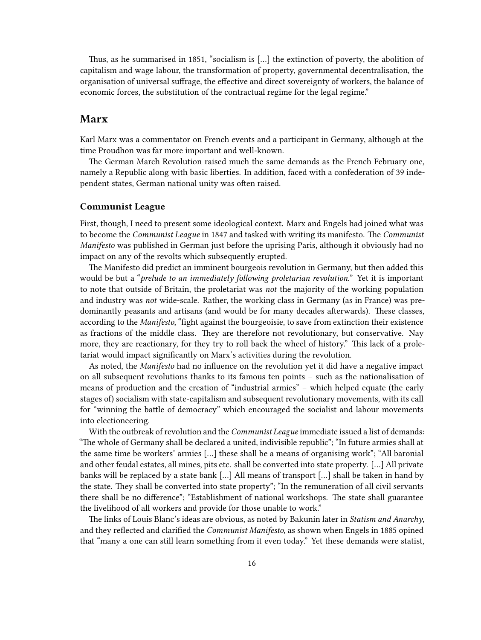Thus, as he summarised in 1851, "socialism is […] the extinction of poverty, the abolition of capitalism and wage labour, the transformation of property, governmental decentralisation, the organisation of universal suffrage, the effective and direct sovereignty of workers, the balance of economic forces, the substitution of the contractual regime for the legal regime."

### <span id="page-15-0"></span>**Marx**

Karl Marx was a commentator on French events and a participant in Germany, although at the time Proudhon was far more important and well-known.

The German March Revolution raised much the same demands as the French February one, namely a Republic along with basic liberties. In addition, faced with a confederation of 39 independent states, German national unity was often raised.

#### <span id="page-15-1"></span>**Communist League**

First, though, I need to present some ideological context. Marx and Engels had joined what was to become the *Communist League* in 1847 and tasked with writing its manifesto. The *Communist Manifesto* was published in German just before the uprising Paris, although it obviously had no impact on any of the revolts which subsequently erupted.

The Manifesto did predict an imminent bourgeois revolution in Germany, but then added this would be but a "*prelude to an immediately following proletarian revolution.*" Yet it is important to note that outside of Britain, the proletariat was *not* the majority of the working population and industry was *not* wide-scale. Rather, the working class in Germany (as in France) was predominantly peasants and artisans (and would be for many decades afterwards). These classes, according to the *Manifesto*, "fight against the bourgeoisie, to save from extinction their existence as fractions of the middle class. They are therefore not revolutionary, but conservative. Nay more, they are reactionary, for they try to roll back the wheel of history." This lack of a proletariat would impact significantly on Marx's activities during the revolution.

As noted, the *Manifesto* had no influence on the revolution yet it did have a negative impact on all subsequent revolutions thanks to its famous ten points – such as the nationalisation of means of production and the creation of "industrial armies" – which helped equate (the early stages of) socialism with state-capitalism and subsequent revolutionary movements, with its call for "winning the battle of democracy" which encouraged the socialist and labour movements into electioneering.

With the outbreak of revolution and the *Communist League* immediate issued a list of demands: "The whole of Germany shall be declared a united, indivisible republic"; "In future armies shall at the same time be workers' armies […] these shall be a means of organising work"; "All baronial and other feudal estates, all mines, pits etc. shall be converted into state property. […] All private banks will be replaced by a state bank […] All means of transport […] shall be taken in hand by the state. They shall be converted into state property"; "In the remuneration of all civil servants there shall be no difference"; "Establishment of national workshops. The state shall guarantee the livelihood of all workers and provide for those unable to work."

The links of Louis Blanc's ideas are obvious, as noted by Bakunin later in *Statism and Anarchy*, and they reflected and clarified the *Communist Manifesto*, as shown when Engels in 1885 opined that "many a one can still learn something from it even today." Yet these demands were statist,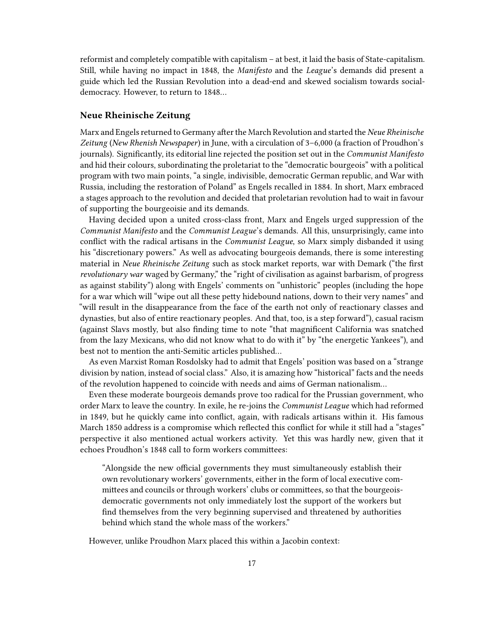reformist and completely compatible with capitalism – at best, it laid the basis of State-capitalism. Still, while having no impact in 1848, the *Manifesto* and the *League*'s demands did present a guide which led the Russian Revolution into a dead-end and skewed socialism towards socialdemocracy. However, to return to 1848…

#### <span id="page-16-0"></span>**Neue Rheinische Zeitung**

Marx and Engels returned to Germany after the March Revolution and started the *Neue Rheinische Zeitung* (*New Rhenish Newspaper*) in June, with a circulation of 3–6,000 (a fraction of Proudhon's journals). Significantly, its editorial line rejected the position set out in the *Communist Manifesto* and hid their colours, subordinating the proletariat to the "democratic bourgeois" with a political program with two main points, "a single, indivisible, democratic German republic, and War with Russia, including the restoration of Poland" as Engels recalled in 1884. In short, Marx embraced a stages approach to the revolution and decided that proletarian revolution had to wait in favour of supporting the bourgeoisie and its demands.

Having decided upon a united cross-class front, Marx and Engels urged suppression of the *Communist Manifesto* and the *Communist League*'s demands. All this, unsurprisingly, came into conflict with the radical artisans in the *Communist League*, so Marx simply disbanded it using his "discretionary powers." As well as advocating bourgeois demands, there is some interesting material in *Neue Rheinische Zeitung* such as stock market reports, war with Demark ("the first *revolutionary war* waged by Germany," the "right of civilisation as against barbarism, of progress as against stability") along with Engels' comments on "unhistoric" peoples (including the hope for a war which will "wipe out all these petty hidebound nations, down to their very names" and "will result in the disappearance from the face of the earth not only of reactionary classes and dynasties, but also of entire reactionary peoples. And that, too, is a step forward"), casual racism (against Slavs mostly, but also finding time to note "that magnificent California was snatched from the lazy Mexicans, who did not know what to do with it" by "the energetic Yankees"), and best not to mention the anti-Semitic articles published…

As even Marxist Roman Rosdolsky had to admit that Engels' position was based on a "strange division by nation, instead of social class." Also, it is amazing how "historical" facts and the needs of the revolution happened to coincide with needs and aims of German nationalism…

Even these moderate bourgeois demands prove too radical for the Prussian government, who order Marx to leave the country. In exile, he re-joins the *Communist League* which had reformed in 1849, but he quickly came into conflict, again, with radicals artisans within it. His famous March 1850 address is a compromise which reflected this conflict for while it still had a "stages" perspective it also mentioned actual workers activity. Yet this was hardly new, given that it echoes Proudhon's 1848 call to form workers committees:

"Alongside the new official governments they must simultaneously establish their own revolutionary workers' governments, either in the form of local executive committees and councils or through workers' clubs or committees, so that the bourgeoisdemocratic governments not only immediately lost the support of the workers but find themselves from the very beginning supervised and threatened by authorities behind which stand the whole mass of the workers."

However, unlike Proudhon Marx placed this within a Jacobin context: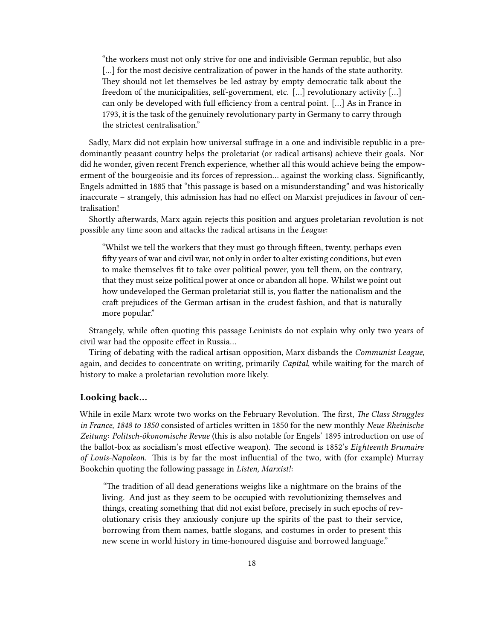"the workers must not only strive for one and indivisible German republic, but also [...] for the most decisive centralization of power in the hands of the state authority. They should not let themselves be led astray by empty democratic talk about the freedom of the municipalities, self-government, etc. […] revolutionary activity […] can only be developed with full efficiency from a central point. […] As in France in 1793, it is the task of the genuinely revolutionary party in Germany to carry through the strictest centralisation."

Sadly, Marx did not explain how universal suffrage in a one and indivisible republic in a predominantly peasant country helps the proletariat (or radical artisans) achieve their goals. Nor did he wonder, given recent French experience, whether all this would achieve being the empowerment of the bourgeoisie and its forces of repression… against the working class. Significantly, Engels admitted in 1885 that "this passage is based on a misunderstanding" and was historically inaccurate – strangely, this admission has had no effect on Marxist prejudices in favour of centralisation!

Shortly afterwards, Marx again rejects this position and argues proletarian revolution is not possible any time soon and attacks the radical artisans in the *League*:

"Whilst we tell the workers that they must go through fifteen, twenty, perhaps even fifty years of war and civil war, not only in order to alter existing conditions, but even to make themselves fit to take over political power, you tell them, on the contrary, that they must seize political power at once or abandon all hope. Whilst we point out how undeveloped the German proletariat still is, you flatter the nationalism and the craft prejudices of the German artisan in the crudest fashion, and that is naturally more popular."

Strangely, while often quoting this passage Leninists do not explain why only two years of civil war had the opposite effect in Russia…

Tiring of debating with the radical artisan opposition, Marx disbands the *Communist League*, again, and decides to concentrate on writing, primarily *Capital*, while waiting for the march of history to make a proletarian revolution more likely.

#### <span id="page-17-0"></span>**Looking back…**

While in exile Marx wrote two works on the February Revolution. The first, *The Class Struggles in France, 1848 to 1850* consisted of articles written in 1850 for the new monthly *Neue Rheinische Zeitung: Politsch-ökonomische Revue* (this is also notable for Engels' 1895 introduction on use of the ballot-box as socialism's most effective weapon). The second is 1852's *Eighteenth Brumaire of Louis-Napoleon*. This is by far the most influential of the two, with (for example) Murray Bookchin quoting the following passage in *Listen, Marxist!*:

*"*The tradition of all dead generations weighs like a nightmare on the brains of the living. And just as they seem to be occupied with revolutionizing themselves and things, creating something that did not exist before, precisely in such epochs of revolutionary crisis they anxiously conjure up the spirits of the past to their service, borrowing from them names, battle slogans, and costumes in order to present this new scene in world history in time-honoured disguise and borrowed language."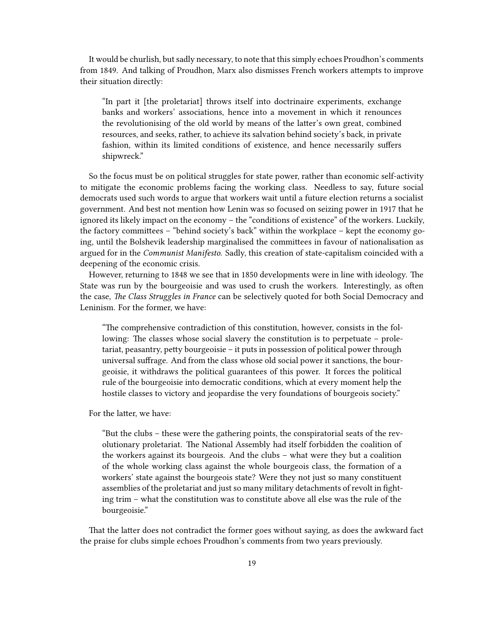It would be churlish, but sadly necessary, to note that this simply echoes Proudhon's comments from 1849. And talking of Proudhon, Marx also dismisses French workers attempts to improve their situation directly:

"In part it [the proletariat] throws itself into doctrinaire experiments, exchange banks and workers' associations, hence into a movement in which it renounces the revolutionising of the old world by means of the latter's own great, combined resources, and seeks, rather, to achieve its salvation behind society's back, in private fashion, within its limited conditions of existence, and hence necessarily suffers shipwreck."

So the focus must be on political struggles for state power, rather than economic self-activity to mitigate the economic problems facing the working class. Needless to say, future social democrats used such words to argue that workers wait until a future election returns a socialist government. And best not mention how Lenin was so focused on seizing power in 1917 that he ignored its likely impact on the economy – the "conditions of existence" of the workers. Luckily, the factory committees – "behind society's back" within the workplace – kept the economy going, until the Bolshevik leadership marginalised the committees in favour of nationalisation as argued for in the *Communist Manifesto*. Sadly, this creation of state-capitalism coincided with a deepening of the economic crisis.

However, returning to 1848 we see that in 1850 developments were in line with ideology. The State was run by the bourgeoisie and was used to crush the workers. Interestingly, as often the case, *The Class Struggles in France* can be selectively quoted for both Social Democracy and Leninism. For the former, we have:

"The comprehensive contradiction of this constitution, however, consists in the following: The classes whose social slavery the constitution is to perpetuate – proletariat, peasantry, petty bourgeoisie – it puts in possession of political power through universal suffrage. And from the class whose old social power it sanctions, the bourgeoisie, it withdraws the political guarantees of this power. It forces the political rule of the bourgeoisie into democratic conditions, which at every moment help the hostile classes to victory and jeopardise the very foundations of bourgeois society."

For the latter, we have:

"But the clubs – these were the gathering points, the conspiratorial seats of the revolutionary proletariat. The National Assembly had itself forbidden the coalition of the workers against its bourgeois. And the clubs – what were they but a coalition of the whole working class against the whole bourgeois class, the formation of a workers' state against the bourgeois state? Were they not just so many constituent assemblies of the proletariat and just so many military detachments of revolt in fighting trim – what the constitution was to constitute above all else was the rule of the bourgeoisie."

That the latter does not contradict the former goes without saying, as does the awkward fact the praise for clubs simple echoes Proudhon's comments from two years previously.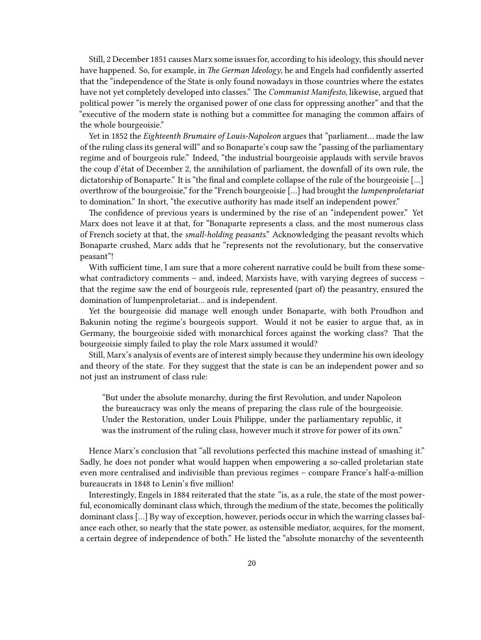Still, 2 December 1851 causes Marx some issues for, according to his ideology, this should never have happened. So, for example, in *The German Ideology*, he and Engels had confidently asserted that the "independence of the State is only found nowadays in those countries where the estates have not yet completely developed into classes." The *Communist Manifesto*, likewise, argued that political power "is merely the organised power of one class for oppressing another" and that the "executive of the modern state is nothing but a committee for managing the common affairs of the whole bourgeoisie."

Yet in 1852 the *Eighteenth Brumaire of Louis-Napoleon* argues that "parliament… made the law of the ruling class its general will" and so Bonaparte's coup saw the "passing of the parliamentary regime and of bourgeois rule." Indeed, "the industrial bourgeoisie applauds with servile bravos the coup d'état of December 2, the annihilation of parliament, the downfall of its own rule, the dictatorship of Bonaparte." It is "the final and complete collapse of the rule of the bourgeoisie […] overthrow of the bourgeoisie," for the "French bourgeoisie […] had brought the *lumpenproletariat* to domination." In short, "the executive authority has made itself an independent power."

The confidence of previous years is undermined by the rise of an "independent power." Yet Marx does not leave it at that, for "Bonaparte represents a class, and the most numerous class of French society at that, the *small-holding peasants*." Acknowledging the peasant revolts which Bonaparte crushed, Marx adds that he "represents not the revolutionary, but the conservative peasant"!

With sufficient time, I am sure that a more coherent narrative could be built from these somewhat contradictory comments – and, indeed, Marxists have, with varying degrees of success – that the regime saw the end of bourgeois rule, represented (part of) the peasantry, ensured the domination of lumpenproletariat… and is independent.

Yet the bourgeoisie did manage well enough under Bonaparte, with both Proudhon and Bakunin noting the regime's bourgeois support. Would it not be easier to argue that, as in Germany, the bourgeoisie sided with monarchical forces against the working class? That the bourgeoisie simply failed to play the role Marx assumed it would?

Still, Marx's analysis of events are of interest simply because they undermine his own ideology and theory of the state. For they suggest that the state is can be an independent power and so not just an instrument of class rule:

"But under the absolute monarchy, during the first Revolution, and under Napoleon the bureaucracy was only the means of preparing the class rule of the bourgeoisie. Under the Restoration, under Louis Philippe, under the parliamentary republic, it was the instrument of the ruling class, however much it strove for power of its own."

Hence Marx's conclusion that "all revolutions perfected this machine instead of smashing it." Sadly, he does not ponder what would happen when empowering a so-called proletarian state even more centralised and indivisible than previous regimes – compare France's half-a-million bureaucrats in 1848 to Lenin's five million!

Interestingly, Engels in 1884 reiterated that the state *"*is, as a rule, the state of the most powerful, economically dominant class which, through the medium of the state, becomes the politically dominant class […] By way of exception, however, periods occur in which the warring classes balance each other, so nearly that the state power, as ostensible mediator, acquires, for the moment, a certain degree of independence of both." He listed the "absolute monarchy of the seventeenth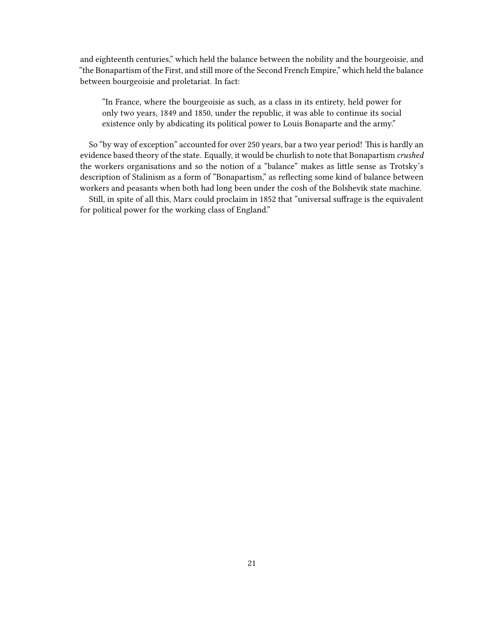and eighteenth centuries," which held the balance between the nobility and the bourgeoisie, and "the Bonapartism of the First, and still more of the Second French Empire," which held the balance between bourgeoisie and proletariat. In fact:

"In France, where the bourgeoisie as such, as a class in its entirety, held power for only two years, 1849 and 1850, under the republic, it was able to continue its social existence only by abdicating its political power to Louis Bonaparte and the army."

So "by way of exception" accounted for over 250 years, bar a two year period! This is hardly an evidence based theory of the state. Equally, it would be churlish to note that Bonapartism *crushed* the workers organisations and so the notion of a "balance" makes as little sense as Trotsky's description of Stalinism as a form of "Bonapartism," as reflecting some kind of balance between workers and peasants when both had long been under the cosh of the Bolshevik state machine.

Still, in spite of all this, Marx could proclaim in 1852 that "universal suffrage is the equivalent for political power for the working class of England."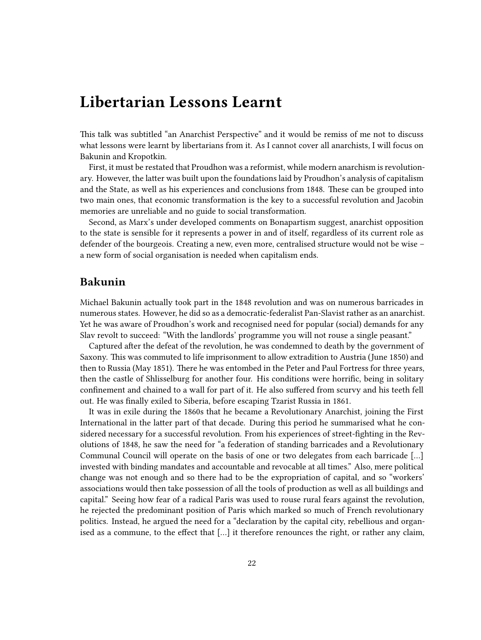## <span id="page-21-0"></span>**Libertarian Lessons Learnt**

This talk was subtitled "an Anarchist Perspective" and it would be remiss of me not to discuss what lessons were learnt by libertarians from it. As I cannot cover all anarchists, I will focus on Bakunin and Kropotkin.

First, it must be restated that Proudhon was a reformist, while modern anarchism is revolutionary. However, the latter was built upon the foundations laid by Proudhon's analysis of capitalism and the State, as well as his experiences and conclusions from 1848. These can be grouped into two main ones, that economic transformation is the key to a successful revolution and Jacobin memories are unreliable and no guide to social transformation.

Second, as Marx's under developed comments on Bonapartism suggest, anarchist opposition to the state is sensible for it represents a power in and of itself, regardless of its current role as defender of the bourgeois. Creating a new, even more, centralised structure would not be wise – a new form of social organisation is needed when capitalism ends.

### <span id="page-21-1"></span>**Bakunin**

Michael Bakunin actually took part in the 1848 revolution and was on numerous barricades in numerous states. However, he did so as a democratic-federalist Pan-Slavist rather as an anarchist. Yet he was aware of Proudhon's work and recognised need for popular (social) demands for any Slav revolt to succeed: "With the landlords' programme you will not rouse a single peasant."

Captured after the defeat of the revolution, he was condemned to death by the government of Saxony. This was commuted to life imprisonment to allow extradition to Austria (June 1850) and then to Russia (May 1851). There he was entombed in the Peter and Paul Fortress for three years, then the castle of Shlisselburg for another four. His conditions were horrific, being in solitary confinement and chained to a wall for part of it. He also suffered from scurvy and his teeth fell out. He was finally exiled to Siberia, before escaping Tzarist Russia in 1861.

It was in exile during the 1860s that he became a Revolutionary Anarchist, joining the First International in the latter part of that decade. During this period he summarised what he considered necessary for a successful revolution. From his experiences of street-fighting in the Revolutions of 1848, he saw the need for "a federation of standing barricades and a Revolutionary Communal Council will operate on the basis of one or two delegates from each barricade […] invested with binding mandates and accountable and revocable at all times." Also, mere political change was not enough and so there had to be the expropriation of capital, and so "workers' associations would then take possession of all the tools of production as well as all buildings and capital." Seeing how fear of a radical Paris was used to rouse rural fears against the revolution, he rejected the predominant position of Paris which marked so much of French revolutionary politics. Instead, he argued the need for a "declaration by the capital city, rebellious and organised as a commune, to the effect that […] it therefore renounces the right, or rather any claim,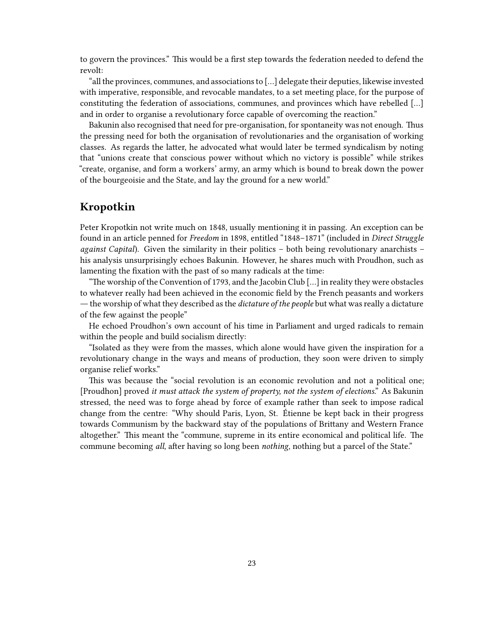to govern the provinces." This would be a first step towards the federation needed to defend the revolt:

"all the provinces, communes, and associations to […] delegate their deputies, likewise invested with imperative, responsible, and revocable mandates, to a set meeting place, for the purpose of constituting the federation of associations, communes, and provinces which have rebelled […] and in order to organise a revolutionary force capable of overcoming the reaction."

Bakunin also recognised that need for pre-organisation, for spontaneity was not enough. Thus the pressing need for both the organisation of revolutionaries and the organisation of working classes. As regards the latter, he advocated what would later be termed syndicalism by noting that "unions create that conscious power without which no victory is possible" while strikes "create, organise, and form a workers' army, an army which is bound to break down the power of the bourgeoisie and the State, and lay the ground for a new world."

### <span id="page-22-0"></span>**Kropotkin**

Peter Kropotkin not write much on 1848, usually mentioning it in passing. An exception can be found in an article penned for *Freedom* in 1898, entitled "1848–1871" (included in *Direct Struggle against Capital*). Given the similarity in their politics – both being revolutionary anarchists – his analysis unsurprisingly echoes Bakunin. However, he shares much with Proudhon, such as lamenting the fixation with the past of so many radicals at the time:

"The worship of the Convention of 1793, and the Jacobin Club […] in reality they were obstacles to whatever really had been achieved in the economic field by the French peasants and workers ― the worship of what they described as the *dictature of the people* but what was really a dictature of the few against the people"

He echoed Proudhon's own account of his time in Parliament and urged radicals to remain within the people and build socialism directly:

"Isolated as they were from the masses, which alone would have given the inspiration for a revolutionary change in the ways and means of production, they soon were driven to simply organise relief works."

This was because the "social revolution is an economic revolution and not a political one; [Proudhon] proved *it must attack the system of property, not the system of elections*." As Bakunin stressed, the need was to forge ahead by force of example rather than seek to impose radical change from the centre: "Why should Paris, Lyon, St. Étienne be kept back in their progress towards Communism by the backward stay of the populations of Brittany and Western France altogether." This meant the "commune, supreme in its entire economical and political life. The commune becoming *all*, after having so long been *nothing*, nothing but a parcel of the State."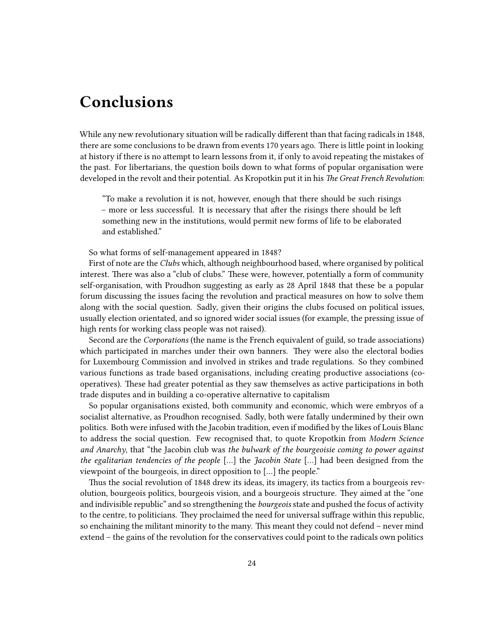# <span id="page-23-0"></span>**Conclusions**

While any new revolutionary situation will be radically different than that facing radicals in 1848, there are some conclusions to be drawn from events 170 years ago. There is little point in looking at history if there is no attempt to learn lessons from it, if only to avoid repeating the mistakes of the past. For libertarians, the question boils down to what forms of popular organisation were developed in the revolt and their potential. As Kropotkin put it in his *The Great French Revolution*:

"To make a revolution it is not, however, enough that there should be such risings – more or less successful. It is necessary that after the risings there should be left something new in the institutions, would permit new forms of life to be elaborated and established."

So what forms of self-management appeared in 1848?

First of note are the *Clubs* which, although neighbourhood based, where organised by political interest. There was also a "club of clubs." These were, however, potentially a form of community self-organisation, with Proudhon suggesting as early as 28 April 1848 that these be a popular forum discussing the issues facing the revolution and practical measures on how to solve them along with the social question. Sadly, given their origins the clubs focused on political issues, usually election orientated, and so ignored wider social issues (for example, the pressing issue of high rents for working class people was not raised).

Second are the *Corporations* (the name is the French equivalent of guild, so trade associations) which participated in marches under their own banners. They were also the electoral bodies for Luxembourg Commission and involved in strikes and trade regulations. So they combined various functions as trade based organisations, including creating productive associations (cooperatives). These had greater potential as they saw themselves as active participations in both trade disputes and in building a co-operative alternative to capitalism

So popular organisations existed, both community and economic, which were embryos of a socialist alternative, as Proudhon recognised. Sadly, both were fatally undermined by their own politics. Both were infused with the Jacobin tradition, even if modified by the likes of Louis Blanc to address the social question. Few recognised that, to quote Kropotkin from *Modern Science and Anarchy*, that "the Jacobin club was *the bulwark of the bourgeoisie coming to power against the egalitarian tendencies of the people* […] the *Jacobin State* […] had been designed from the viewpoint of the bourgeois, in direct opposition to […] the people."

Thus the social revolution of 1848 drew its ideas, its imagery, its tactics from a bourgeois revolution, bourgeois politics, bourgeois vision, and a bourgeois structure. They aimed at the "one and indivisible republic" and so strengthening the *bourgeois* state and pushed the focus of activity to the centre, to politicians. They proclaimed the need for universal suffrage within this republic, so enchaining the militant minority to the many. This meant they could not defend – never mind extend – the gains of the revolution for the conservatives could point to the radicals own politics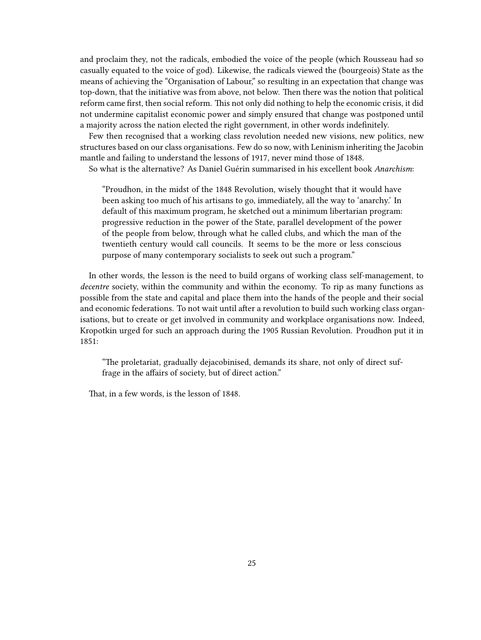and proclaim they, not the radicals, embodied the voice of the people (which Rousseau had so casually equated to the voice of god). Likewise, the radicals viewed the (bourgeois) State as the means of achieving the "Organisation of Labour," so resulting in an expectation that change was top-down, that the initiative was from above, not below. Then there was the notion that political reform came first, then social reform. This not only did nothing to help the economic crisis, it did not undermine capitalist economic power and simply ensured that change was postponed until a majority across the nation elected the right government, in other words indefinitely.

Few then recognised that a working class revolution needed new visions, new politics, new structures based on our class organisations. Few do so now, with Leninism inheriting the Jacobin mantle and failing to understand the lessons of 1917, never mind those of 1848.

So what is the alternative? As Daniel Guérin summarised in his excellent book *Anarchism*:

"Proudhon, in the midst of the 1848 Revolution, wisely thought that it would have been asking too much of his artisans to go, immediately, all the way to 'anarchy.' In default of this maximum program, he sketched out a minimum libertarian program: progressive reduction in the power of the State, parallel development of the power of the people from below, through what he called clubs, and which the man of the twentieth century would call councils. It seems to be the more or less conscious purpose of many contemporary socialists to seek out such a program."

In other words, the lesson is the need to build organs of working class self-management, to *decentre* society, within the community and within the economy. To rip as many functions as possible from the state and capital and place them into the hands of the people and their social and economic federations. To not wait until after a revolution to build such working class organisations, but to create or get involved in community and workplace organisations now. Indeed, Kropotkin urged for such an approach during the 1905 Russian Revolution. Proudhon put it in 1851:

"The proletariat, gradually dejacobinised, demands its share, not only of direct suffrage in the affairs of society, but of direct action."

That, in a few words, is the lesson of 1848.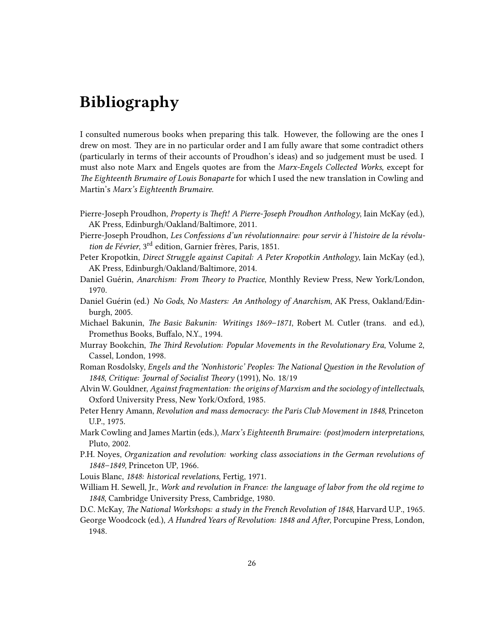# <span id="page-25-0"></span>**Bibliography**

I consulted numerous books when preparing this talk. However, the following are the ones I drew on most. They are in no particular order and I am fully aware that some contradict others (particularly in terms of their accounts of Proudhon's ideas) and so judgement must be used. I must also note Marx and Engels quotes are from the *Marx-Engels Collected Works*, except for *The Eighteenth Brumaire of Louis Bonaparte* for which I used the new translation in Cowling and Martin's *Marx's Eighteenth Brumaire*.

Pierre-Joseph Proudhon, *Property is Theft! A Pierre-Joseph Proudhon Anthology*, Iain McKay (ed.), AK Press, Edinburgh/Oakland/Baltimore, 2011.

Pierre-Joseph Proudhon, *Les Confessions d'un révolutionnaire: pour servir à l'histoire de la révolution de Février*, 3rd edition, Garnier frères, Paris, 1851.

- Peter Kropotkin, *Direct Struggle against Capital: A Peter Kropotkin Anthology*, Iain McKay (ed.), AK Press, Edinburgh/Oakland/Baltimore, 2014.
- Daniel Guérin, *Anarchism: From Theory to Practice*, Monthly Review Press, New York/London, 1970.
- Daniel Guérin (ed.) *No Gods, No Masters: An Anthology of Anarchism*, AK Press, Oakland/Edinburgh, 2005.
- Michael Bakunin, *The Basic Bakunin: Writings 1869–1871*, Robert M. Cutler (trans. and ed.), Promethus Books, Buffalo, N.Y., 1994.
- Murray Bookchin, *The Third Revolution: Popular Movements in the Revolutionary Era*, Volume 2, Cassel, London, 1998.
- Roman Rosdolsky, *Engels and the 'Nonhistoric' Peoples: The National Question in the Revolution of 1848*, *Critique: Journal of Socialist Theory* (1991), No. 18/19
- Alvin W. Gouldner, *Against fragmentation: the origins of Marxism and the sociology of intellectuals*, Oxford University Press, New York/Oxford, 1985.
- Peter Henry Amann, *Revolution and mass democracy: the Paris Club Movement in 1848*, Princeton U.P., 1975.
- Mark Cowling and James Martin (eds.), *Marx's Eighteenth Brumaire: (post)modern interpretations*, Pluto, 2002.
- P.H. Noyes, *Organization and revolution: working class associations in the German revolutions of 1848–1849*, Princeton UP, 1966.

Louis Blanc, *1848: historical revelations*, Fertig, 1971.

William H. Sewell, Jr., *Work and revolution in France: the language of labor from the old regime to 1848*, Cambridge University Press, Cambridge, 1980.

D.C. McKay, *The National Workshops: a study in the French Revolution of 1848*, Harvard U.P., 1965.

George Woodcock (ed.), *A Hundred Years of Revolution: 1848 and After*, Porcupine Press, London, 1948.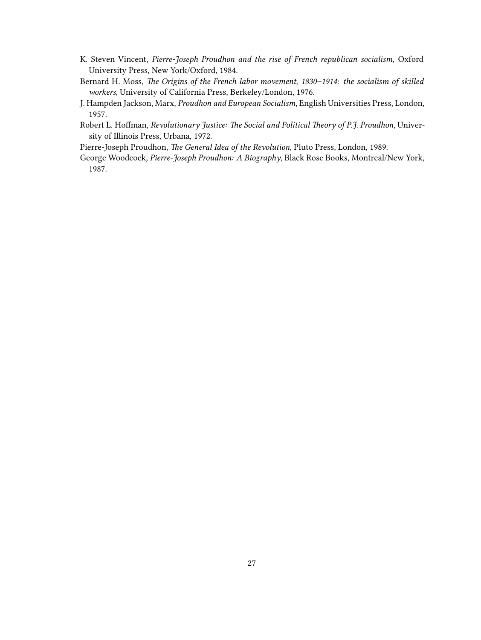- K. Steven Vincent, *Pierre-Joseph Proudhon and the rise of French republican socialism*, Oxford University Press, New York/Oxford, 1984.
- Bernard H. Moss, *The Origins of the French labor movement, 1830–1914: the socialism of skilled workers*, University of California Press, Berkeley/London, 1976.
- J. Hampden Jackson, Marx, *Proudhon and European Socialism*, English Universities Press, London, 1957.
- Robert L. Hoffman, *Revolutionary Justice: The Social and Political Theory of P.J. Proudhon*, University of Illinois Press, Urbana, 1972.
- Pierre-Joseph Proudhon, *The General Idea of the Revolution*, Pluto Press, London, 1989.
- George Woodcock, *Pierre-Joseph Proudhon: A Biography*, Black Rose Books, Montreal/New York, 1987.